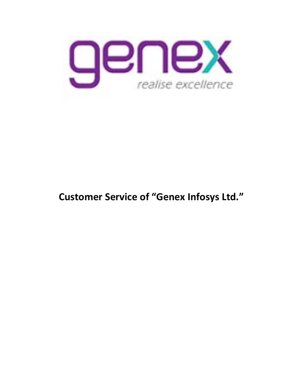

# **Customer Service of "Genex Infosys Ltd."**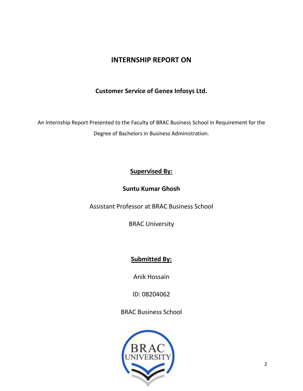### **INTERNSHIP REPORT ON**

### **Customer Service of Genex Infosys Ltd.**

An Internship Report Presented to the Faculty of BRAC Business School in Requirement for the Degree of Bachelors in Business Administration.

### **Supervised By:**

### **Suntu Kumar Ghosh**

Assistant Professor at BRAC Business School

BRAC University

### **Submitted By:**

Anik Hossain

ID: 08204062

BRAC Business School

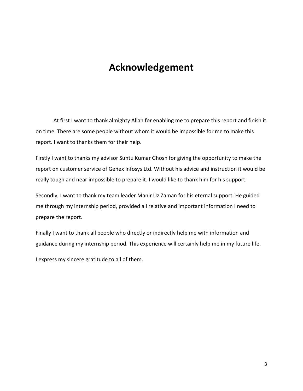# **Acknowledgement**

At first I want to thank almighty Allah for enabling me to prepare this report and finish it on time. There are some people without whom it would be impossible for me to make this report. I want to thanks them for their help.

Firstly I want to thanks my advisor Suntu Kumar Ghosh for giving the opportunity to make the report on customer service of Genex Infosys Ltd. Without his advice and instruction it would be really tough and near impossible to prepare it. I would like to thank him for his support.

Secondly, I want to thank my team leader Manir Uz Zaman for his eternal support. He guided me through my internship period, provided all relative and important information I need to prepare the report.

Finally I want to thank all people who directly or indirectly help me with information and guidance during my internship period. This experience will certainly help me in my future life.

I express my sincere gratitude to all of them.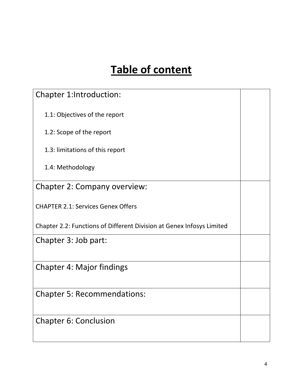# **Table of content**

| Chapter 1:Introduction:                                               |  |
|-----------------------------------------------------------------------|--|
| 1.1: Objectives of the report                                         |  |
| 1.2: Scope of the report                                              |  |
| 1.3: limitations of this report                                       |  |
| 1.4: Methodology                                                      |  |
| Chapter 2: Company overview:                                          |  |
| <b>CHAPTER 2.1: Services Genex Offers</b>                             |  |
| Chapter 2.2: Functions of Different Division at Genex Infosys Limited |  |
| Chapter 3: Job part:                                                  |  |
| <b>Chapter 4: Major findings</b>                                      |  |
| <b>Chapter 5: Recommendations:</b>                                    |  |
| <b>Chapter 6: Conclusion</b>                                          |  |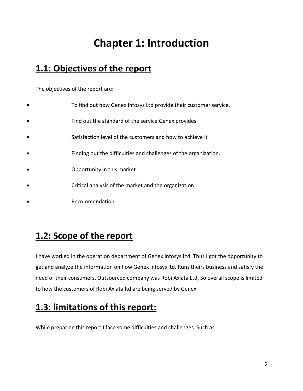# **Chapter 1: Introduction**

# **1.1: Objectives of the report**

The objectives of the report are:

- To find out how Genex Infosys Ltd provide their customer service.
- Find out the standard of the service Genex provides.
- Satisfaction level of the customers and how to achieve it
- Finding out the difficulties and challenges of the organization.
- Opportunity in this market
- Critical analysis of the market and the organization
- Recommendation

## **1.2: Scope of the report**

I have worked in the operation department of Genex Infosys Ltd. Thus I got the opportunity to get and analyze the information on how Genex Infosys ltd. Runs theirs business and satisfy the need of their consumers. Outsourced company was Robi Axiata Ltd, So overall scope is limited to how the customers of Robi Axiata ltd are being served by Genex

# **1.3: limitations of this report:**

While preparing this report I face some difficulties and challenges. Such as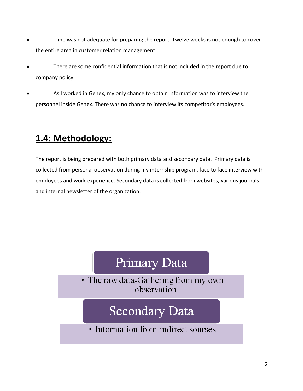- Time was not adequate for preparing the report. Twelve weeks is not enough to cover the entire area in customer relation management.
- There are some confidential information that is not included in the report due to company policy.
- As I worked in Genex, my only chance to obtain information was to interview the personnel inside Genex. There was no chance to interview its competitor's employees.

# **1.4: Methodology:**

The report is being prepared with both primary data and secondary data. Primary data is collected from personal observation during my internship program, face to face interview with employees and work experience. Secondary data is collected from websites, various journals and internal newsletter of the organization.

# **Primary Data**

• The raw data-Gathering from my own observation

# **Secondary Data**

• Information from indirect sourses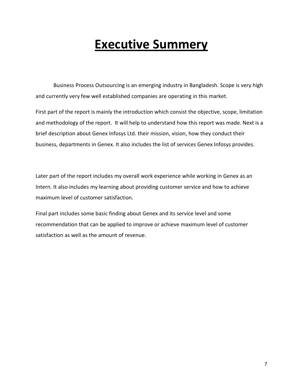# **Executive Summery**

Business Process Outsourcing is an emerging industry in Bangladesh. Scope is very high and currently very few well established companies are operating in this market.

First part of the report is mainly the introduction which consist the objective, scope, limitation and methodology of the report. It will help to understand how this report was made. Next is a brief description about Genex Infosys Ltd. their mission, vision, how they conduct their business, departments in Genex. It also includes the list of services Genex Infosys provides.

Later part of the report includes my overall work experience while working in Genex as an Intern. It also includes my learning about providing customer service and how to achieve maximum level of customer satisfaction.

Final part includes some basic finding about Genex and its service level and some recommendation that can be applied to improve or achieve maximum level of customer satisfaction as well as the amount of revenue.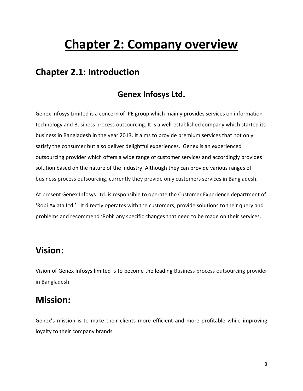# **Chapter 2: Company overview**

## **Chapter 2.1: Introduction**

### **Genex Infosys Ltd.**

Genex Infosys Limited is a concern of IPE group which mainly provides services on information technology and Business process outsourcing. It is a well-established company which started its business in Bangladesh in the year 2013. It aims to provide premium services that not only satisfy the consumer but also deliver delightful experiences. Genex is an experienced outsourcing provider which offers a wide range of customer services and accordingly provides solution based on the nature of the industry. Although they can provide various ranges of business process outsourcing, currently they provide only customers services in Bangladesh.

At present Genex Infosys Ltd. is responsible to operate the Customer Experience department of 'Robi Axiata Ltd.'. It directly operates with the customers; provide solutions to their query and problems and recommend 'Robi' any specific changes that need to be made on their services.

## **Vision:**

Vision of Genex Infosys limited is to become the leading Business process outsourcing provider in Bangladesh.

## **Mission:**

Genex's mission is to make their clients more efficient and more profitable while improving loyalty to their company brands.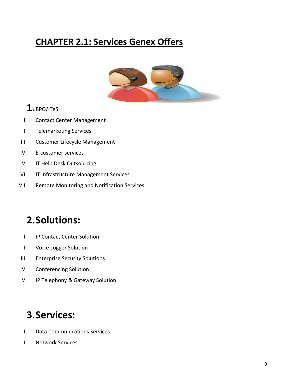# **CHAPTER 2.1: Services Genex Offers**



## **1.**BPO/ITeS:

- I. Contact Center Management
- II. Telemarketing Services
- III. Customer Lifecycle Management
- IV. E-customer services
- V. IT Help Desk Outsourcing
- VI. IT Infrastructure Management Services
- VII. Remote Monitoring and Notification Services

# **2.Solutions:**

- I. IP Contact Center Solution
- II. Voice Logger Solution
- III. Enterprise Security Solutions
- IV. Conferencing Solution
- V. IP Telephony & Gateway Solution

# **3.Services:**

- I. Data Communications Services
- II. Network Services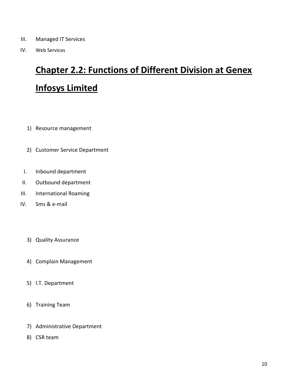- III. Managed IT Services
- IV. Web Services

# **Chapter 2.2: Functions of Different Division at Genex Infosys Limited**

- 1) Resource management
- 2) Customer Service Department
- I. Inbound department
- II. Outbound department
- III. International Roaming
- IV. Sms & e-mail
	- 3) Quality Assurance
	- 4) Complain Management
	- 5) I.T. Department
	- 6) Training Team
	- 7) Administrative Department
	- 8) CSR team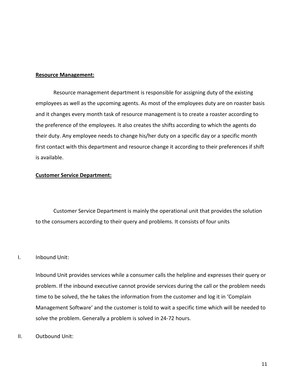#### **Resource Management:**

Resource management department is responsible for assigning duty of the existing employees as well as the upcoming agents. As most of the employees duty are on roaster basis and it changes every month task of resource management is to create a roaster according to the preference of the employees. It also creates the shifts according to which the agents do their duty. Any employee needs to change his/her duty on a specific day or a specific month first contact with this department and resource change it according to their preferences if shift is available.

#### **Customer Service Department:**

Customer Service Department is mainly the operational unit that provides the solution to the consumers according to their query and problems. It consists of four units

#### I. Inbound Unit:

Inbound Unit provides services while a consumer calls the helpline and expresses their query or problem. If the inbound executive cannot provide services during the call or the problem needs time to be solved, the he takes the information from the customer and log it in 'Complain Management Software' and the customer is told to wait a specific time which will be needed to solve the problem. Generally a problem is solved in 24-72 hours.

II. Outbound Unit: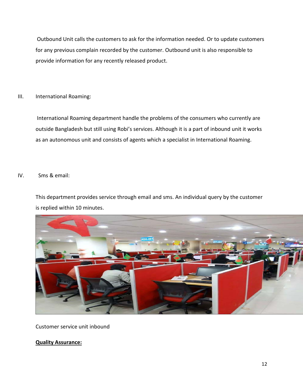Outbound Unit calls the customers to ask for the information needed. Or to update customers for any previous complain recorded by the customer. Outbound unit is also responsible to provide information for any recently released product.

#### III. International Roaming:

International Roaming department handle the problems of the consumers who currently are outside Bangladesh but still using Robi's services. Although it is a part of inbound unit it works as an autonomous unit and consists of agents which a specialist in International Roaming.

#### IV. Sms & email:

This department provides service through email and sms. An individual query by the customer is replied within 10 minutes.



Customer service unit inbound

#### **Quality Assurance:**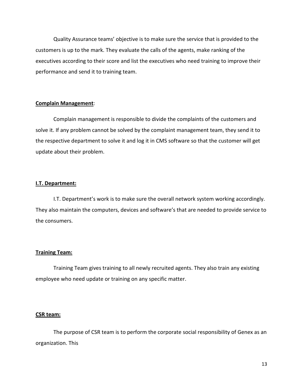Quality Assurance teams' objective is to make sure the service that is provided to the customers is up to the mark. They evaluate the calls of the agents, make ranking of the executives according to their score and list the executives who need training to improve their performance and send it to training team.

#### **Complain Management**:

Complain management is responsible to divide the complaints of the customers and solve it. If any problem cannot be solved by the complaint management team, they send it to the respective department to solve it and log it in CMS software so that the customer will get update about their problem.

#### **I.T. Department:**

I.T. Department's work is to make sure the overall network system working accordingly. They also maintain the computers, devices and software's that are needed to provide service to the consumers.

#### **Training Team:**

Training Team gives training to all newly recruited agents. They also train any existing employee who need update or training on any specific matter.

#### **CSR team:**

The purpose of CSR team is to perform the corporate social responsibility of Genex as an organization. This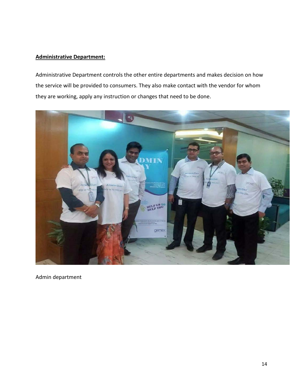#### **Administrative Department:**

Administrative Department controls the other entire departments and makes decision on how the service will be provided to consumers. They also make contact with the vendor for whom they are working, apply any instruction or changes that need to be done.



Admin department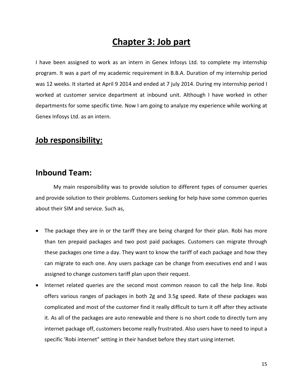## **Chapter 3: Job part**

I have been assigned to work as an intern in Genex Infosys Ltd. to complete my internship program. It was a part of my academic requirement in B.B.A. Duration of my internship period was 12 weeks. It started at April 9 2014 and ended at 7 july 2014. During my internship period I worked at customer service department at inbound unit. Although I have worked in other departments for some specific time. Now I am going to analyze my experience while working at Genex Infosys Ltd. as an intern.

### **Job responsibility:**

### **Inbound Team:**

My main responsibility was to provide solution to different types of consumer queries and provide solution to their problems. Customers seeking for help have some common queries about their SIM and service. Such as,

- The package they are in or the tariff they are being charged for their plan. Robi has more than ten prepaid packages and two post paid packages. Customers can migrate through these packages one time a day. They want to know the tariff of each package and how they can migrate to each one. Any users package can be change from executives end and I was assigned to change customers tariff plan upon their request.
- Internet related queries are the second most common reason to call the help line. Robi offers various ranges of packages in both 2g and 3.5g speed. Rate of these packages was complicated and most of the customer find it really difficult to turn it off after they activate it. As all of the packages are auto renewable and there is no short code to directly turn any internet package off, customers become really frustrated. Also users have to need to input a specific 'Robi internet" setting in their handset before they start using internet.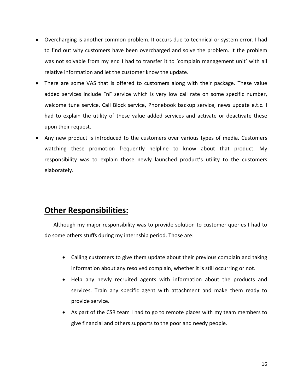- Overcharging is another common problem. It occurs due to technical or system error. I had to find out why customers have been overcharged and solve the problem. It the problem was not solvable from my end I had to transfer it to 'complain management unit' with all relative information and let the customer know the update.
- There are some VAS that is offered to customers along with their package. These value added services include FnF service which is very low call rate on some specific number, welcome tune service, Call Block service, Phonebook backup service, news update e.t.c. I had to explain the utility of these value added services and activate or deactivate these upon their request.
- Any new product is introduced to the customers over various types of media. Customers watching these promotion frequently helpline to know about that product. My responsibility was to explain those newly launched product's utility to the customers elaborately.

### **Other Responsibilities:**

Although my major responsibility was to provide solution to customer queries I had to do some others stuffs during my internship period. Those are:

- Calling customers to give them update about their previous complain and taking information about any resolved complain, whether it is still occurring or not.
- Help any newly recruited agents with information about the products and services. Train any specific agent with attachment and make them ready to provide service.
- As part of the CSR team I had to go to remote places with my team members to give financial and others supports to the poor and needy people.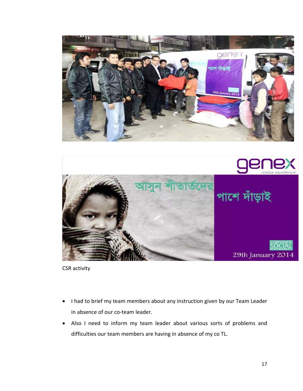



CSR activity

- I had to brief my team members about any instruction given by our Team Leader in absence of our co-team leader.
- Also I need to inform my team leader about various sorts of problems and difficulties our team members are having in absence of my co TL.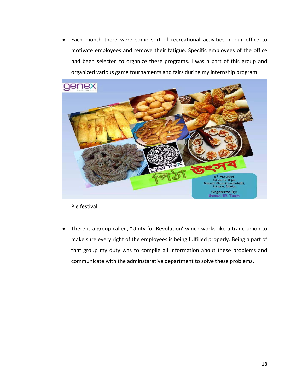• Each month there were some sort of recreational activities in our office to motivate employees and remove their fatigue. Specific employees of the office had been selected to organize these programs. I was a part of this group and organized various game tournaments and fairs during my internship program.



Pie festival

• There is a group called, "Unity for Revolution' which works like a trade union to make sure every right of the employees is being fulfilled properly. Being a part of that group my duty was to compile all information about these problems and communicate with the adminstarative department to solve these problems.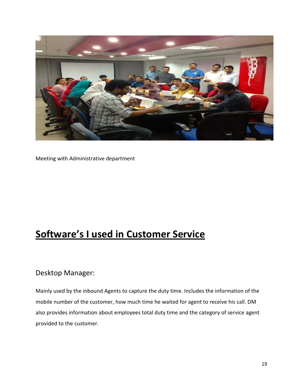

Meeting with Administrative department

# **Software's I used in Customer Service**

### Desktop Manager:

Mainly used by the inbound Agents to capture the duty time. Includes the information of the mobile number of the customer, how much time he waited for agent to receive his call. DM also provides information about employees total duty time and the category of service agent provided to the customer.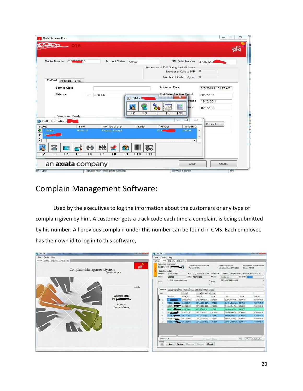| Robi Screen Pop<br><b>ZIDO</b>                                                                                         |                                     |                                                 |                                                                                                                                                                  | $\Sigma$<br>$\boxed{\square}$<br>$\equiv$                    |
|------------------------------------------------------------------------------------------------------------------------|-------------------------------------|-------------------------------------------------|------------------------------------------------------------------------------------------------------------------------------------------------------------------|--------------------------------------------------------------|
| 01895996418<br>Mobile Number<br>PrePaid                                                                                | <b>Account Status</b>               | Active                                          | SIM Serial Number<br>Frequency of Call During Last 48 hours<br>Number of Calls to IVR<br>Number of Calls to Agent                                                | 470021202<br>$^{\circ}$<br>$\circ$                           |
| SMS<br>PostPaid<br>Service Class<br>Balance<br>Tk.<br><b>Friends and Family</b>                                        | 19.8395                             | 区 DM-1<br>調<br>F <sub>3</sub><br>F <sub>2</sub> | <b>Activation Date</b><br><b>End Date of Active Period</b><br>$\mathbf{x}$<br>است<br>$\equiv$<br>Period<br>E<br>eriod<br>F <sub>8</sub><br>F10<br>F <sub>5</sub> | 3/5/2013 11:51:27 AM<br>20/7/2014<br>18/10/2014<br>16/1/2015 |
| Call Information<br><b>STEP</b><br>Time<br><b>Status</b><br>00:02:21<br>o<br>Talking<br>▶<br>٠<br>$\blacktriangleleft$ | Service Group<br>Prepaid_Bengali    | Name                                            | $\Sigma$<br>回<br>$\equiv$<br>Number<br>Time In Q<br>0:00:00<br>018<br>٠                                                                                          | Check FnF<br>×                                               |
| $\mathbb{R}$<br>虧<br>$\leftrightarrow$<br>F4<br>F <sub>5</sub><br>F <sub>6</sub><br>F <sub>2</sub><br>F <sub>3</sub>   | 칅<br>$\mathbf{R}$<br>F8<br>F7<br>F9 | IIIIII<br>$\mathbb{Z}^2$<br>F10<br>F11          | Clear                                                                                                                                                            | Check                                                        |
| an axiata company<br>ion Type                                                                                          | Replace main price plan package     |                                                 | Service Source                                                                                                                                                   | <b>BMP</b>                                                   |

### Complain Management Software:

Used by the executives to log the information about the customers or any type of complain given by him. A customer gets a track code each time a complaint is being submitted by his number. All previous complain under this number can be found in CMS. Each employee has their own id to log in to this software,

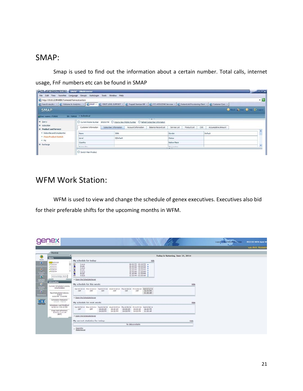### SMAP:

Smap is used to find out the information about a certain number. Total calls, internet usage, FnF numbers etc can be found in SMAP

| <b>ASLIMBROWSER</b> SMAP SimBrowser                                          | File Edit View Favorites Language Groups AutoLogin Tools Window Help                                                                                                                        |                                                                                                       |                     |              |              |            |                     |                          |                       |
|------------------------------------------------------------------------------|---------------------------------------------------------------------------------------------------------------------------------------------------------------------------------------------|-------------------------------------------------------------------------------------------------------|---------------------|--------------|--------------|------------|---------------------|--------------------------|-----------------------|
| http://10.16.22.99:8680/frameset/frameset.action                             |                                                                                                                                                                                             |                                                                                                       |                     |              |              |            |                     |                          | $\cdot$ $\rightarrow$ |
|                                                                              | 3 Search results : x 3 Welcome to Analytics., x 3 SMAP x 3 PIRST LEVEL SUPPORT x 3 Prepaid Ibemized Bill x 3 CCI::xDS2OVE Services x 3 2 InstantLink Provisioning Clent x 3 Customer Care x |                                                                                                       |                     |              |              |            |                     |                          |                       |
| <b>SMAP</b>                                                                  |                                                                                                                                                                                             |                                                                                                       |                     |              |              |            |                     | O that Art Other E-treat |                       |
| SUser name: 12022                                                            | TD:T2022 · Individual                                                                                                                                                                       |                                                                                                       |                     |              |              |            |                     |                          |                       |
| <b>E</b> Query                                                               |                                                                                                                                                                                             | O Current Mobile Number 1851014744    Q Input a New Mobile Number    Q Refresh Subscriber Information | <b>TEL: 49-110</b>  |              |              |            |                     |                          |                       |
|                                                                              |                                                                                                                                                                                             |                                                                                                       |                     |              |              |            |                     |                          |                       |
|                                                                              | Customer Information                                                                                                                                                                        | Subscriber Information<br>Account Information                                                         | Balance Record List | Service List | Product List | <b>CUG</b> | Accumulative Amount |                          |                       |
| · Subscribe and Unsubscribe                                                  | Name                                                                                                                                                                                        | 590k                                                                                                  |                     | Gender       |              |            | Default             |                          |                       |
| * Main Product Switch                                                        | Level                                                                                                                                                                                       | 0)Default                                                                                             |                     | Status       |              |            |                     |                          |                       |
| II Subscriber<br><b>II</b> Product and Service<br>. FN<br><b>II</b> Recharge | Country                                                                                                                                                                                     |                                                                                                       |                     | Native Place |              |            |                     |                          | ÷                     |

### WFM Work Station:

WFM is used to view and change the schedule of genex executives. Executives also bid for their preferable shifts for the upcoming months in WFM.

|                                                                  | <b>Qenex</b><br><b><i><u>Address State Addressed and</u></i></b>                               |                                                                                                                                                                                                                                                                                                                                      | Logout   Me Preferences   Help | <b>NICE ILX WFM Agent W</b> |
|------------------------------------------------------------------|------------------------------------------------------------------------------------------------|--------------------------------------------------------------------------------------------------------------------------------------------------------------------------------------------------------------------------------------------------------------------------------------------------------------------------------------|--------------------------------|-----------------------------|
|                                                                  |                                                                                                |                                                                                                                                                                                                                                                                                                                                      |                                | <b>Hitle Anik Hossair</b>   |
| ٥<br><b>Historic</b>                                             | Home<br><b>Alerts</b>                                                                          | Today is Saturday, June 21, 2014                                                                                                                                                                                                                                                                                                     |                                |                             |
| $^{\circ}$<br>$\frac{9}{10}$<br><b>Units Views</b><br><b>TEX</b> | CC 5/21/14<br>J5/21/14<br>$-5/21/14$<br>$-5/22/14$<br>$-5/22/14$<br>٠<br>Adinowledge Alerts    | My schedule for today:<br>Hide<br>$\sim$<br>08:00 PM - 09:40 PM<br>Avava<br>09:40 PM - 09:50 PM<br>Break<br>E3<br>Avaya<br>09:50 PM - 10:40 PM A<br>e<br>Break<br>10:40 PM - 10:50 PM A<br>$\epsilon$<br>10:50 PM - 11:40 PM A<br>Avaya<br>٠<br>11:40 PM - 11:50 PM A<br>Break<br>$\mathfrak{c}_3$<br>Avaya<br>11:50 PM - 01:00 AM A |                                |                             |
|                                                                  | Information<br>Current Scheduled Activity:<br>Unscheduled<br>Next Scheduled Activity:<br>Avava | > Open the ScheduleViewer<br>My schedule for this week:<br>Hide<br>Sun 6/15/14 Mon 6/16/14 Tue 6/17/14 Wed 6/18/14<br>Sat 6/21/14<br>Thu 6/19/14 Fri 6/20/14<br>OFF<br>OFF<br>OFF<br>OFF<br>OFF<br>OFF<br>08:00 PM<br>01:00 AM                                                                                                       |                                |                             |
|                                                                  | 8:00 PM - 9:40 PM<br>Schedules Released:<br>$4/1/14 - 7/5/14$                                  | > Open the ScheduleViewer<br>My schedule for next week:<br>Hide                                                                                                                                                                                                                                                                      |                                |                             |
| <b>A NEW CORPORA</b>                                             | Schedules Last Modified:<br>6/20/14 4:30:22 PM<br>Page last refreshed:<br>$6/21/14$ 7:14 AM    | 5un 6/22/14 Mon 6/23/14 Tue 6/24/14 Wed 6/25/14 Thu 6/26/14 Fri 6/27/14 Sat 6/28/14<br>OFF<br>09:00 AM<br>08:00 PM<br>OFF<br>09:00 AM<br>09:00 AM<br>09:00 AM<br>04:00 PM<br>04:00 PM<br>04:00 PM<br>04:00 PM<br>01:00 AM                                                                                                            |                                |                             |
|                                                                  | (BDT)                                                                                          | > Open the ScheduleViewer<br>My current statistics for today:<br>Hide                                                                                                                                                                                                                                                                |                                |                             |
|                                                                  |                                                                                                | No data available<br>Open the<br>StatsViewer                                                                                                                                                                                                                                                                                         |                                |                             |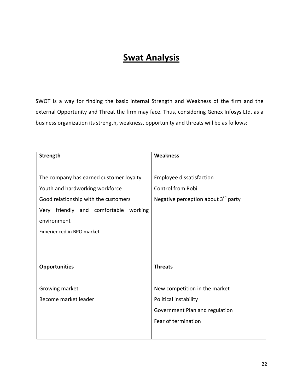# **Swat Analysis**

SWOT is a way for finding the basic internal Strength and Weakness of the firm and the external Opportunity and Threat the firm may face. Thus, considering Genex Infosys Ltd. as a business organization its strength, weakness, opportunity and threats will be as follows:

| <b>Strength</b>                             | <b>Weakness</b>                                 |
|---------------------------------------------|-------------------------------------------------|
|                                             |                                                 |
| The company has earned customer loyalty     | Employee dissatisfaction                        |
| Youth and hardworking workforce             | Control from Robi                               |
| Good relationship with the customers        | Negative perception about 3 <sup>rd</sup> party |
| friendly and comfortable<br>working<br>Very |                                                 |
| environment                                 |                                                 |
| Experienced in BPO market                   |                                                 |
|                                             |                                                 |
|                                             |                                                 |
| <b>Opportunities</b>                        | <b>Threats</b>                                  |
|                                             |                                                 |
| Growing market                              | New competition in the market                   |
| Become market leader                        | Political instability                           |
|                                             | Government Plan and regulation                  |
|                                             | Fear of termination                             |
|                                             |                                                 |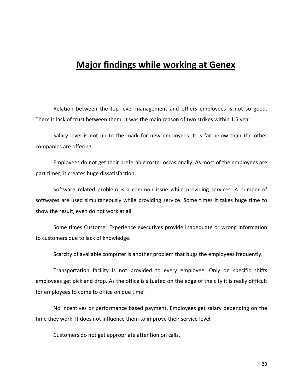## **Major findings while working at Genex**

Relation between the top level management and others employees is not so good. There is lack of trust between them. It was the main reason of two strikes within 1.5 year.

Salary level is not up to the mark for new employees. It is far below than the other companies are offering.

Employees do not get their preferable roster occasionally. As most of the employees are part timer; it creates huge dissatisfaction.

Software related problem is a common issue while providing services. A number of softwares are used simultaneously while providing service. Some times it takes huge time to show the result, even do not work at all.

Some times Customer Experience executives provide inadequate or wrong information to customers due to lack of knowledge.

Scarcity of available computer is another problem that bugs the employees frequently.

Transportation facility is not provided to every employee. Only on specific shifts employees get pick and drop. As the office is situated on the edge of the city it is really difficult for employees to come to office on due time.

No incentives or performance based payment. Employees get salary depending on the time they work. It does not influence them to improve their service level.

Customers do not get appropriate attention on calls.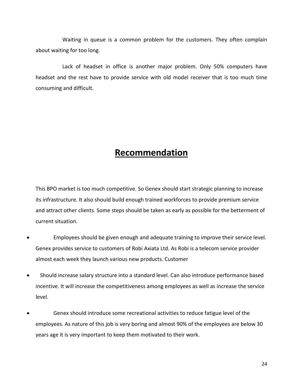Waiting in queue is a common problem for the customers. They often complain about waiting for too long.

Lack of headset in office is another major problem. Only 50% computers have headset and the rest have to provide service with old model receiver that is too much time consuming and difficult.

## **Recommendation**

This BPO market is too much competitive. So Genex should start strategic planning to increase its infrastructure. It also should build enough trained workforces to provide premium service and attract other clients. Some steps should be taken as early as possible for the betterment of current situation.

- Employees should be given enough and adequate training to improve their service level. Genex provides service to customers of Robi Axiata Ltd. As Robi is a telecom service provider almost each week they launch various new products. Customer
- Should increase salary structure into a standard level. Can also introduce performance based incentive. It will increase the competitiveness among employees as well as increase the service level.
- Genex should introduce some recreational activities to reduce fatigue level of the employees. As nature of this job is very boring and almost 90% of the employees are below 30 years age it is very important to keep them motivated to their work.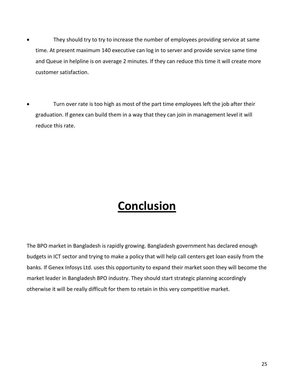- They should try to try to increase the number of employees providing service at same time. At present maximum 140 executive can log in to server and provide service same time and Queue in helpline is on average 2 minutes. If they can reduce this time it will create more customer satisfaction.
- Turn over rate is too high as most of the part time employees left the job after their graduation. If genex can build them in a way that they can join in management level it will reduce this rate.

# **Conclusion**

The BPO market in Bangladesh is rapidly growing. Bangladesh government has declared enough budgets in ICT sector and trying to make a policy that will help call centers get loan easily from the banks. If Genex Infosys Ltd. uses this opportunity to expand their market soon they will become the market leader in Bangladesh BPO industry. They should start strategic planning accordingly otherwise it will be really difficult for them to retain in this very competitive market.